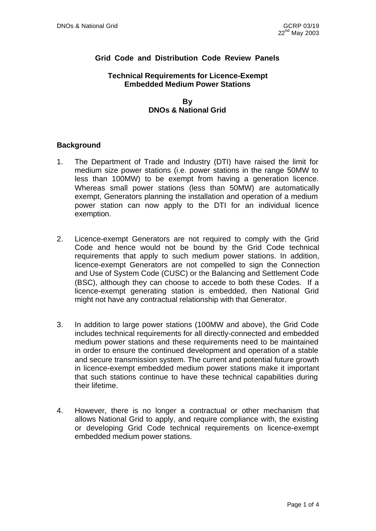# **Grid Code and Distribution Code Review Panels**

#### **Technical Requirements for Licence-Exempt Embedded Medium Power Stations**

### **By DNOs & National Grid**

### **Background**

- 1. The Department of Trade and Industry (DTI) have raised the limit for medium size power stations (i.e. power stations in the range 50MW to less than 100MW) to be exempt from having a generation licence. Whereas small power stations (less than 50MW) are automatically exempt, Generators planning the installation and operation of a medium power station can now apply to the DTI for an individual licence exemption.
- 2. Licence-exempt Generators are not required to comply with the Grid Code and hence would not be bound by the Grid Code technical requirements that apply to such medium power stations. In addition, licence-exempt Generators are not compelled to sign the Connection and Use of System Code (CUSC) or the Balancing and Settlement Code (BSC), although they can choose to accede to both these Codes. If a licence-exempt generating station is embedded, then National Grid might not have any contractual relationship with that Generator.
- 3. In addition to large power stations (100MW and above), the Grid Code includes technical requirements for all directly-connected and embedded medium power stations and these requirements need to be maintained in order to ensure the continued development and operation of a stable and secure transmission system. The current and potential future growth in licence-exempt embedded medium power stations make it important that such stations continue to have these technical capabilities during their lifetime.
- 4. However, there is no longer a contractual or other mechanism that allows National Grid to apply, and require compliance with, the existing or developing Grid Code technical requirements on licence-exempt embedded medium power stations.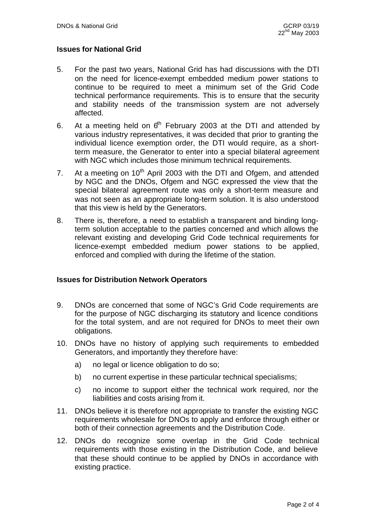## **Issues for National Grid**

- 5. For the past two years, National Grid has had discussions with the DTI on the need for licence-exempt embedded medium power stations to continue to be required to meet a minimum set of the Grid Code technical performance requirements. This is to ensure that the security and stability needs of the transmission system are not adversely affected.
- 6. At a meeting held on  $6<sup>th</sup>$  February 2003 at the DTI and attended by various industry representatives, it was decided that prior to granting the individual licence exemption order, the DTI would require, as a shortterm measure, the Generator to enter into a special bilateral agreement with NGC which includes those minimum technical requirements.
- 7. At a meeting on  $10^{th}$  April 2003 with the DTI and Ofgem, and attended by NGC and the DNOs, Ofgem and NGC expressed the view that the special bilateral agreement route was only a short-term measure and was not seen as an appropriate long-term solution. It is also understood that this view is held by the Generators.
- 8. There is, therefore, a need to establish a transparent and binding longterm solution acceptable to the parties concerned and which allows the relevant existing and developing Grid Code technical requirements for licence-exempt embedded medium power stations to be applied, enforced and complied with during the lifetime of the station.

## **Issues for Distribution Network Operators**

- 9. DNOs are concerned that some of NGC's Grid Code requirements are for the purpose of NGC discharging its statutory and licence conditions for the total system, and are not required for DNOs to meet their own obligations.
- 10. DNOs have no history of applying such requirements to embedded Generators, and importantly they therefore have:
	- a) no legal or licence obligation to do so;
	- b) no current expertise in these particular technical specialisms;
	- c) no income to support either the technical work required, nor the liabilities and costs arising from it.
- 11. DNOs believe it is therefore not appropriate to transfer the existing NGC requirements wholesale for DNOs to apply and enforce through either or both of their connection agreements and the Distribution Code.
- 12. DNOs do recognize some overlap in the Grid Code technical requirements with those existing in the Distribution Code, and believe that these should continue to be applied by DNOs in accordance with existing practice.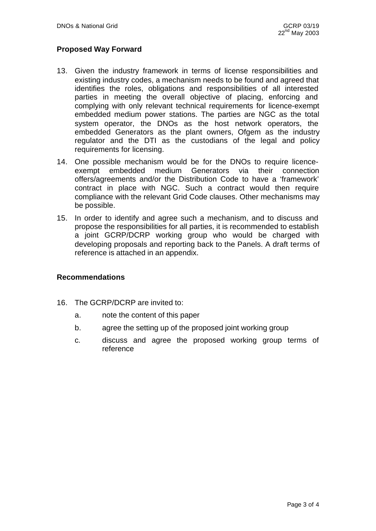# **Proposed Way Forward**

- 13. Given the industry framework in terms of license responsibilities and existing industry codes, a mechanism needs to be found and agreed that identifies the roles, obligations and responsibilities of all interested parties in meeting the overall objective of placing, enforcing and complying with only relevant technical requirements for licence-exempt embedded medium power stations. The parties are NGC as the total system operator, the DNOs as the host network operators, the embedded Generators as the plant owners, Ofgem as the industry regulator and the DTI as the custodians of the legal and policy requirements for licensing.
- 14. One possible mechanism would be for the DNOs to require licenceexempt embedded medium Generators via their connection offers/agreements and/or the Distribution Code to have a 'framework' contract in place with NGC. Such a contract would then require compliance with the relevant Grid Code clauses. Other mechanisms may be possible.
- 15. In order to identify and agree such a mechanism, and to discuss and propose the responsibilities for all parties, it is recommended to establish a joint GCRP/DCRP working group who would be charged with developing proposals and reporting back to the Panels. A draft terms of reference is attached in an appendix.

#### **Recommendations**

- 16. The GCRP/DCRP are invited to:
	- a. note the content of this paper
	- b. agree the setting up of the proposed joint working group
	- c. discuss and agree the proposed working group terms of reference